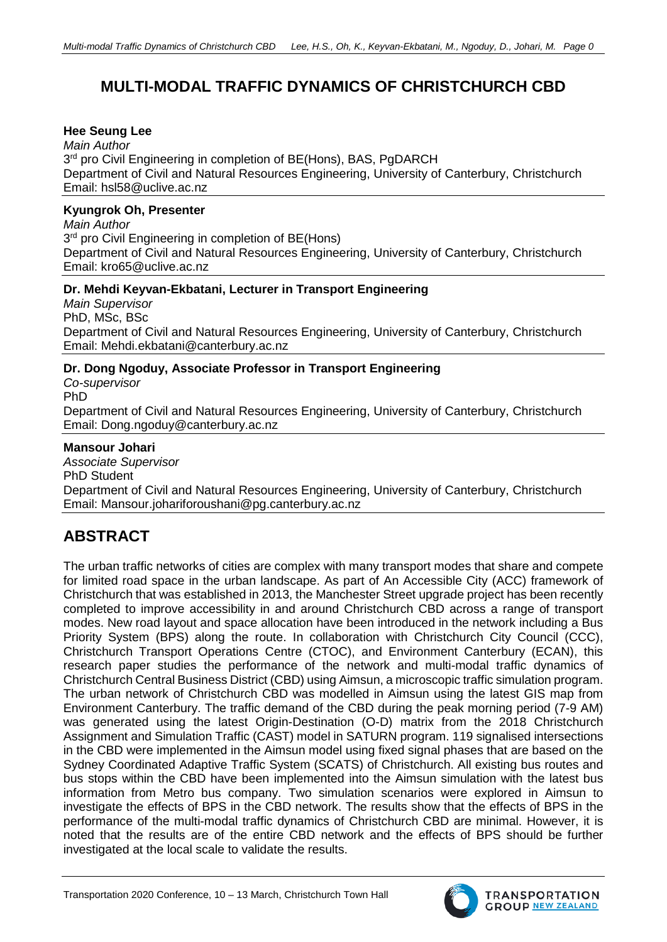# **MULTI-MODAL TRAFFIC DYNAMICS OF CHRISTCHURCH CBD**

### **Hee Seung Lee**

*Main Author*  $3<sup>rd</sup>$  pro Civil Engineering in completion of BE(Hons), BAS, PgDARCH Department of Civil and Natural Resources Engineering, University of Canterbury, Christchurch Email: hsl58@uclive.ac.nz

### **Kyungrok Oh, Presenter**

*Main Author*  3<sup>rd</sup> pro Civil Engineering in completion of BE(Hons) Department of Civil and Natural Resources Engineering, University of Canterbury, Christchurch Email: kro65@uclive.ac.nz

#### **Dr. Mehdi Keyvan-Ekbatani, Lecturer in Transport Engineering**

*Main Supervisor* PhD, MSc, BSc Department of Civil and Natural Resources Engineering, University of Canterbury, Christchurch Email: Mehdi.ekbatani@canterbury.ac.nz

## **Dr. Dong Ngoduy, Associate Professor in Transport Engineering**

*Co-supervisor* PhD Department of Civil and Natural Resources Engineering, University of Canterbury, Christchurch Email: Dong.ngoduy@canterbury.ac.nz

### **Mansour Johari**

*Associate Supervisor* PhD Student Department of Civil and Natural Resources Engineering, University of Canterbury, Christchurch Email: Mansour.johariforoushani@pg.canterbury.ac.nz

# **ABSTRACT**

The urban traffic networks of cities are complex with many transport modes that share and compete for limited road space in the urban landscape. As part of An Accessible City (ACC) framework of Christchurch that was established in 2013, the Manchester Street upgrade project has been recently completed to improve accessibility in and around Christchurch CBD across a range of transport modes. New road layout and space allocation have been introduced in the network including a Bus Priority System (BPS) along the route. In collaboration with Christchurch City Council (CCC), Christchurch Transport Operations Centre (CTOC), and Environment Canterbury (ECAN), this research paper studies the performance of the network and multi-modal traffic dynamics of Christchurch Central Business District (CBD) using Aimsun, a microscopic traffic simulation program. The urban network of Christchurch CBD was modelled in Aimsun using the latest GIS map from Environment Canterbury. The traffic demand of the CBD during the peak morning period (7-9 AM) was generated using the latest Origin-Destination (O-D) matrix from the 2018 Christchurch Assignment and Simulation Traffic (CAST) model in SATURN program. 119 signalised intersections in the CBD were implemented in the Aimsun model using fixed signal phases that are based on the Sydney Coordinated Adaptive Traffic System (SCATS) of Christchurch. All existing bus routes and bus stops within the CBD have been implemented into the Aimsun simulation with the latest bus information from Metro bus company. Two simulation scenarios were explored in Aimsun to investigate the effects of BPS in the CBD network. The results show that the effects of BPS in the performance of the multi-modal traffic dynamics of Christchurch CBD are minimal. However, it is noted that the results are of the entire CBD network and the effects of BPS should be further investigated at the local scale to validate the results.

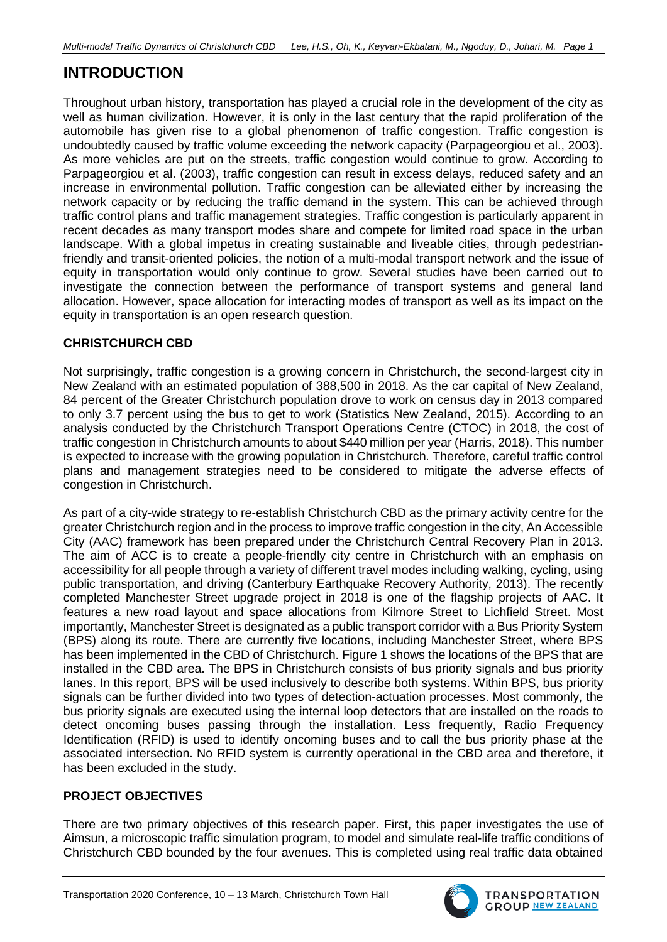# **INTRODUCTION**

Throughout urban history, transportation has played a crucial role in the development of the city as well as human civilization. However, it is only in the last century that the rapid proliferation of the automobile has given rise to a global phenomenon of traffic congestion. Traffic congestion is undoubtedly caused by traffic volume exceeding the network capacity (Parpageorgiou et al., 2003). As more vehicles are put on the streets, traffic congestion would continue to grow. According to Parpageorgiou et al. (2003), traffic congestion can result in excess delays, reduced safety and an increase in environmental pollution. Traffic congestion can be alleviated either by increasing the network capacity or by reducing the traffic demand in the system. This can be achieved through traffic control plans and traffic management strategies. Traffic congestion is particularly apparent in recent decades as many transport modes share and compete for limited road space in the urban landscape. With a global impetus in creating sustainable and liveable cities, through pedestrianfriendly and transit-oriented policies, the notion of a multi-modal transport network and the issue of equity in transportation would only continue to grow. Several studies have been carried out to investigate the connection between the performance of transport systems and general land allocation. However, space allocation for interacting modes of transport as well as its impact on the equity in transportation is an open research question.

## **CHRISTCHURCH CBD**

Not surprisingly, traffic congestion is a growing concern in Christchurch, the second-largest city in New Zealand with an estimated population of 388,500 in 2018. As the car capital of New Zealand, 84 percent of the Greater Christchurch population drove to work on census day in 2013 compared to only 3.7 percent using the bus to get to work (Statistics New Zealand, 2015). According to an analysis conducted by the Christchurch Transport Operations Centre (CTOC) in 2018, the cost of traffic congestion in Christchurch amounts to about \$440 million per year (Harris, 2018). This number is expected to increase with the growing population in Christchurch. Therefore, careful traffic control plans and management strategies need to be considered to mitigate the adverse effects of congestion in Christchurch.

As part of a city-wide strategy to re-establish Christchurch CBD as the primary activity centre for the greater Christchurch region and in the process to improve traffic congestion in the city, An Accessible City (AAC) framework has been prepared under the Christchurch Central Recovery Plan in 2013. The aim of ACC is to create a people-friendly city centre in Christchurch with an emphasis on accessibility for all people through a variety of different travel modes including walking, cycling, using public transportation, and driving (Canterbury Earthquake Recovery Authority, 2013). The recently completed Manchester Street upgrade project in 2018 is one of the flagship projects of AAC. It features a new road layout and space allocations from Kilmore Street to Lichfield Street. Most importantly, Manchester Street is designated as a public transport corridor with a Bus Priority System (BPS) along its route. There are currently five locations, including Manchester Street, where BPS has been implemented in the CBD of Christchurch. [Figure 1](#page-2-0) shows the locations of the BPS that are installed in the CBD area. The BPS in Christchurch consists of bus priority signals and bus priority lanes. In this report, BPS will be used inclusively to describe both systems. Within BPS, bus priority signals can be further divided into two types of detection-actuation processes. Most commonly, the bus priority signals are executed using the internal loop detectors that are installed on the roads to detect oncoming buses passing through the installation. Less frequently, Radio Frequency Identification (RFID) is used to identify oncoming buses and to call the bus priority phase at the associated intersection. No RFID system is currently operational in the CBD area and therefore, it has been excluded in the study.

## **PROJECT OBJECTIVES**

There are two primary objectives of this research paper. First, this paper investigates the use of Aimsun, a microscopic traffic simulation program, to model and simulate real-life traffic conditions of Christchurch CBD bounded by the four avenues. This is completed using real traffic data obtained

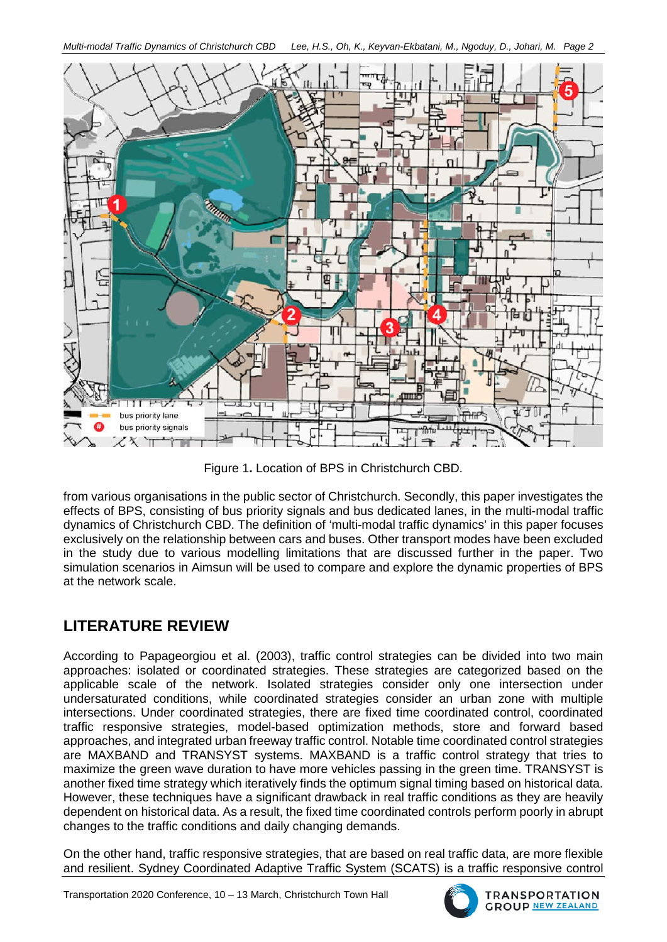*Multi-modal Traffic Dynamics of Christchurch CBD Lee, H.S., Oh, K., Keyvan-Ekbatani, M., Ngoduy, D., Johari, M. Page 2*



Figure 1**.** Location of BPS in Christchurch CBD.

<span id="page-2-0"></span>from various organisations in the public sector of Christchurch. Secondly, this paper investigates the effects of BPS, consisting of bus priority signals and bus dedicated lanes, in the multi-modal traffic dynamics of Christchurch CBD. The definition of 'multi-modal traffic dynamics' in this paper focuses exclusively on the relationship between cars and buses. Other transport modes have been excluded in the study due to various modelling limitations that are discussed further in the paper. Two simulation scenarios in Aimsun will be used to compare and explore the dynamic properties of BPS at the network scale.

# **LITERATURE REVIEW**

According to Papageorgiou et al. (2003), traffic control strategies can be divided into two main approaches: isolated or coordinated strategies. These strategies are categorized based on the applicable scale of the network. Isolated strategies consider only one intersection under undersaturated conditions, while coordinated strategies consider an urban zone with multiple intersections. Under coordinated strategies, there are fixed time coordinated control, coordinated traffic responsive strategies, model-based optimization methods, store and forward based approaches, and integrated urban freeway traffic control. Notable time coordinated control strategies are MAXBAND and TRANSYST systems. MAXBAND is a traffic control strategy that tries to maximize the green wave duration to have more vehicles passing in the green time. TRANSYST is another fixed time strategy which iteratively finds the optimum signal timing based on historical data. However, these techniques have a significant drawback in real traffic conditions as they are heavily dependent on historical data. As a result, the fixed time coordinated controls perform poorly in abrupt changes to the traffic conditions and daily changing demands.

On the other hand, traffic responsive strategies, that are based on real traffic data, are more flexible and resilient. Sydney Coordinated Adaptive Traffic System (SCATS) is a traffic responsive control

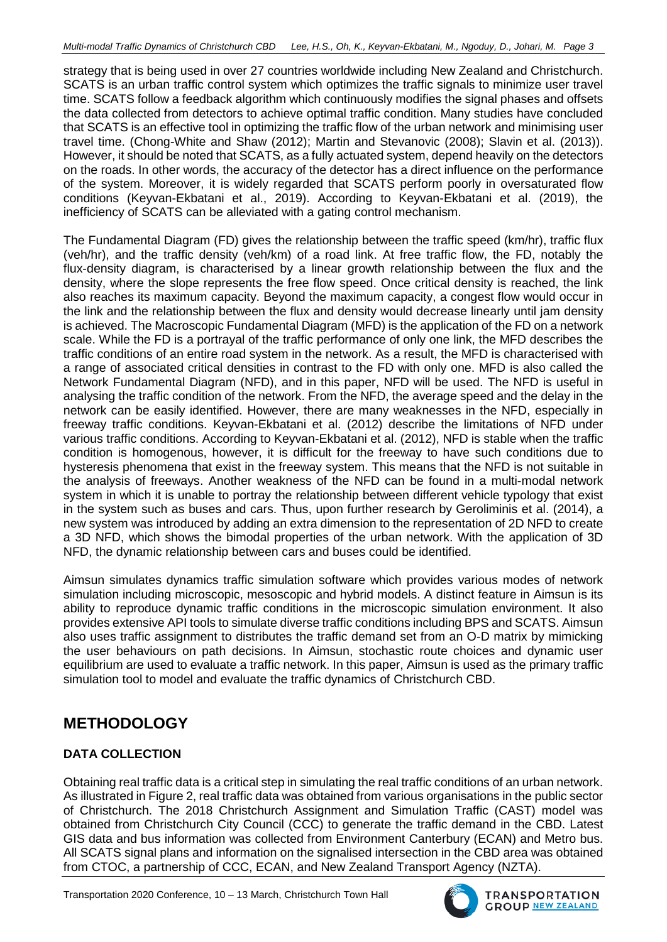strategy that is being used in over 27 countries worldwide including New Zealand and Christchurch. SCATS is an urban traffic control system which optimizes the traffic signals to minimize user travel time. SCATS follow a feedback algorithm which continuously modifies the signal phases and offsets the data collected from detectors to achieve optimal traffic condition. Many studies have concluded that SCATS is an effective tool in optimizing the traffic flow of the urban network and minimising user travel time. (Chong-White and Shaw (2012); Martin and Stevanovic (2008); Slavin et al. (2013)). However, it should be noted that SCATS, as a fully actuated system, depend heavily on the detectors on the roads. In other words, the accuracy of the detector has a direct influence on the performance of the system. Moreover, it is widely regarded that SCATS perform poorly in oversaturated flow conditions (Keyvan-Ekbatani et al., 2019). According to Keyvan-Ekbatani et al. (2019), the inefficiency of SCATS can be alleviated with a gating control mechanism.

The Fundamental Diagram (FD) gives the relationship between the traffic speed (km/hr), traffic flux (veh/hr), and the traffic density (veh/km) of a road link. At free traffic flow, the FD, notably the flux-density diagram, is characterised by a linear growth relationship between the flux and the density, where the slope represents the free flow speed. Once critical density is reached, the link also reaches its maximum capacity. Beyond the maximum capacity, a congest flow would occur in the link and the relationship between the flux and density would decrease linearly until jam density is achieved. The Macroscopic Fundamental Diagram (MFD) is the application of the FD on a network scale. While the FD is a portrayal of the traffic performance of only one link, the MFD describes the traffic conditions of an entire road system in the network. As a result, the MFD is characterised with a range of associated critical densities in contrast to the FD with only one. MFD is also called the Network Fundamental Diagram (NFD), and in this paper, NFD will be used. The NFD is useful in analysing the traffic condition of the network. From the NFD, the average speed and the delay in the network can be easily identified. However, there are many weaknesses in the NFD, especially in freeway traffic conditions. Keyvan-Ekbatani et al. (2012) describe the limitations of NFD under various traffic conditions. According to Keyvan-Ekbatani et al. (2012), NFD is stable when the traffic condition is homogenous, however, it is difficult for the freeway to have such conditions due to hysteresis phenomena that exist in the freeway system. This means that the NFD is not suitable in the analysis of freeways. Another weakness of the NFD can be found in a multi-modal network system in which it is unable to portray the relationship between different vehicle typology that exist in the system such as buses and cars. Thus, upon further research by Geroliminis et al. (2014), a new system was introduced by adding an extra dimension to the representation of 2D NFD to create a 3D NFD, which shows the bimodal properties of the urban network. With the application of 3D NFD, the dynamic relationship between cars and buses could be identified.

Aimsun simulates dynamics traffic simulation software which provides various modes of network simulation including microscopic, mesoscopic and hybrid models. A distinct feature in Aimsun is its ability to reproduce dynamic traffic conditions in the microscopic simulation environment. It also provides extensive API tools to simulate diverse traffic conditions including BPS and SCATS. Aimsun also uses traffic assignment to distributes the traffic demand set from an O-D matrix by mimicking the user behaviours on path decisions. In Aimsun, stochastic route choices and dynamic user equilibrium are used to evaluate a traffic network. In this paper, Aimsun is used as the primary traffic simulation tool to model and evaluate the traffic dynamics of Christchurch CBD.

## **METHODOLOGY**

## **DATA COLLECTION**

Obtaining real traffic data is a critical step in simulating the real traffic conditions of an urban network. As illustrated in [Figure 2,](#page-4-0) real traffic data was obtained from various organisations in the public sector of Christchurch. The 2018 Christchurch Assignment and Simulation Traffic (CAST) model was obtained from Christchurch City Council (CCC) to generate the traffic demand in the CBD. Latest GIS data and bus information was collected from Environment Canterbury (ECAN) and Metro bus. All SCATS signal plans and information on the signalised intersection in the CBD area was obtained from CTOC, a partnership of CCC, ECAN, and New Zealand Transport Agency (NZTA).

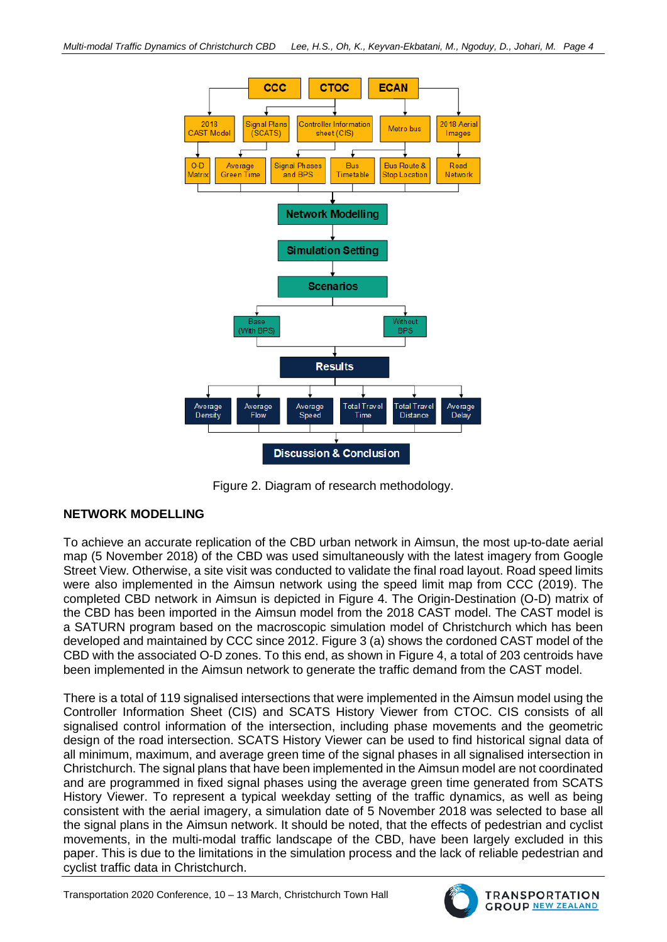

Figure 2. Diagram of research methodology.

## <span id="page-4-0"></span>**NETWORK MODELLING**

To achieve an accurate replication of the CBD urban network in Aimsun, the most up-to-date aerial map (5 November 2018) of the CBD was used simultaneously with the latest imagery from Google Street View. Otherwise, a site visit was conducted to validate the final road layout. Road speed limits were also implemented in the Aimsun network using the speed limit map from CCC (2019). The completed CBD network in Aimsun is depicted in [Figure 4.](#page-5-0) The Origin-Destination (O-D) matrix of the CBD has been imported in the Aimsun model from the 2018 CAST model. The CAST model is a SATURN program based on the macroscopic simulation model of Christchurch which has been developed and maintained by CCC since 2012. [Figure 3](#page-5-1) (a) shows the cordoned CAST model of the CBD with the associated O-D zones. To this end, as shown in [Figure 4,](#page-5-0) a total of 203 centroids have been implemented in the Aimsun network to generate the traffic demand from the CAST model.

There is a total of 119 signalised intersections that were implemented in the Aimsun model using the Controller Information Sheet (CIS) and SCATS History Viewer from CTOC. CIS consists of all signalised control information of the intersection, including phase movements and the geometric design of the road intersection. SCATS History Viewer can be used to find historical signal data of all minimum, maximum, and average green time of the signal phases in all signalised intersection in Christchurch. The signal plans that have been implemented in the Aimsun model are not coordinated and are programmed in fixed signal phases using the average green time generated from SCATS History Viewer. To represent a typical weekday setting of the traffic dynamics, as well as being consistent with the aerial imagery, a simulation date of 5 November 2018 was selected to base all the signal plans in the Aimsun network. It should be noted, that the effects of pedestrian and cyclist movements, in the multi-modal traffic landscape of the CBD, have been largely excluded in this paper. This is due to the limitations in the simulation process and the lack of reliable pedestrian and cyclist traffic data in Christchurch.

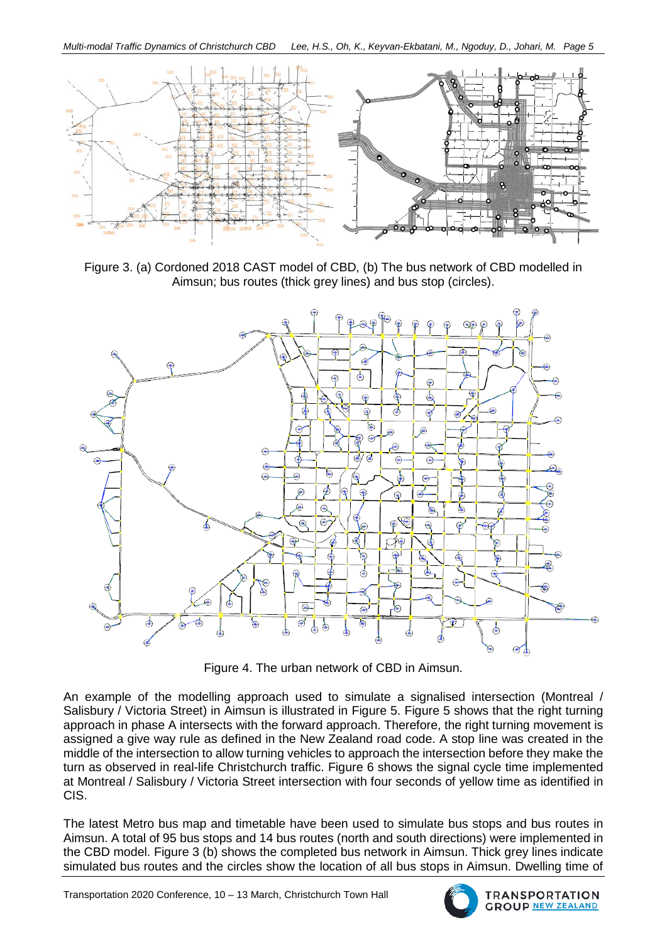

<span id="page-5-1"></span>Figure 3. (a) Cordoned 2018 CAST model of CBD, (b) The bus network of CBD modelled in Aimsun; bus routes (thick grey lines) and bus stop (circles).



Figure 4. The urban network of CBD in Aimsun.

<span id="page-5-0"></span>An example of the modelling approach used to simulate a signalised intersection (Montreal / Salisbury / Victoria Street) in Aimsun is illustrated in [Figure 5. Figure 5](#page-6-0) shows that the right turning approach in phase A intersects with the forward approach. Therefore, the right turning movement is assigned a give way rule as defined in the New Zealand road code. A stop line was created in the middle of the intersection to allow turning vehicles to approach the intersection before they make the turn as observed in real-life Christchurch traffic. [Figure 6](#page-6-1) shows the signal cycle time implemented at Montreal / Salisbury / Victoria Street intersection with four seconds of yellow time as identified in CIS.

The latest Metro bus map and timetable have been used to simulate bus stops and bus routes in Aimsun. A total of 95 bus stops and 14 bus routes (north and south directions) were implemented in the CBD model. [Figure 3](#page-5-1) (b) shows the completed bus network in Aimsun. Thick grey lines indicate simulated bus routes and the circles show the location of all bus stops in Aimsun. Dwelling time of

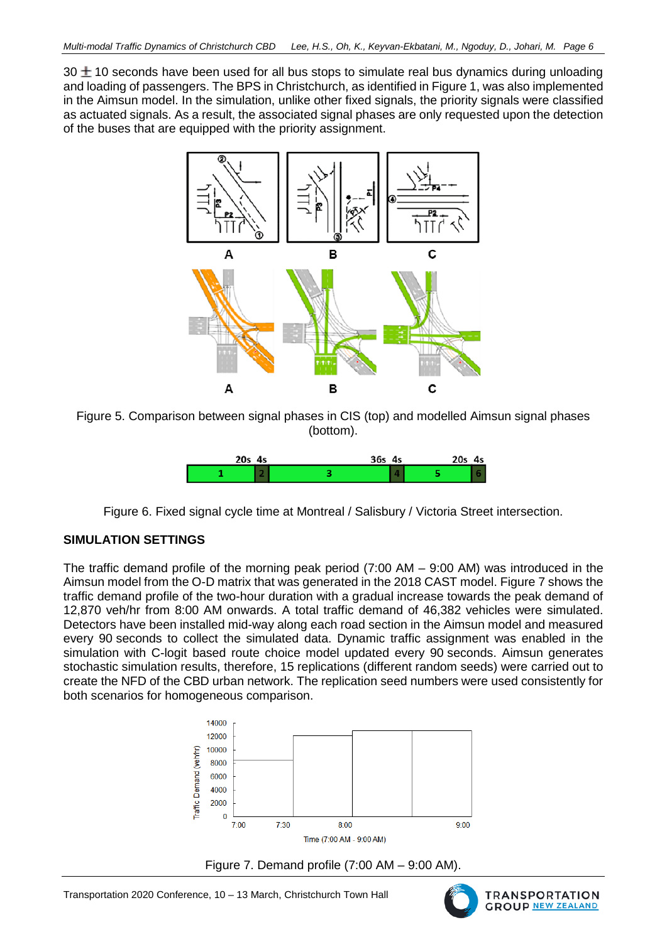30  $\pm$  10 seconds have been used for all bus stops to simulate real bus dynamics during unloading and loading of passengers. The BPS in Christchurch, as identified i[n Figure 1,](#page-2-0) was also implemented in the Aimsun model. In the simulation, unlike other fixed signals, the priority signals were classified as actuated signals. As a result, the associated signal phases are only requested upon the detection of the buses that are equipped with the priority assignment.



<span id="page-6-0"></span>Figure 5. Comparison between signal phases in CIS (top) and modelled Aimsun signal phases (bottom).



Figure 6. Fixed signal cycle time at Montreal / Salisbury / Victoria Street intersection.

#### <span id="page-6-1"></span>**SIMULATION SETTINGS**

The traffic demand profile of the morning peak period (7:00 AM – 9:00 AM) was introduced in the Aimsun model from the O-D matrix that was generated in the 2018 CAST model. [Figure 7](#page-6-2) shows the traffic demand profile of the two-hour duration with a gradual increase towards the peak demand of 12,870 veh/hr from 8:00 AM onwards. A total traffic demand of 46,382 vehicles were simulated. Detectors have been installed mid-way along each road section in the Aimsun model and measured every 90 seconds to collect the simulated data. Dynamic traffic assignment was enabled in the simulation with C-logit based route choice model updated every 90 seconds. Aimsun generates stochastic simulation results, therefore, 15 replications (different random seeds) were carried out to create the NFD of the CBD urban network. The replication seed numbers were used consistently for both scenarios for homogeneous comparison.



<span id="page-6-2"></span>

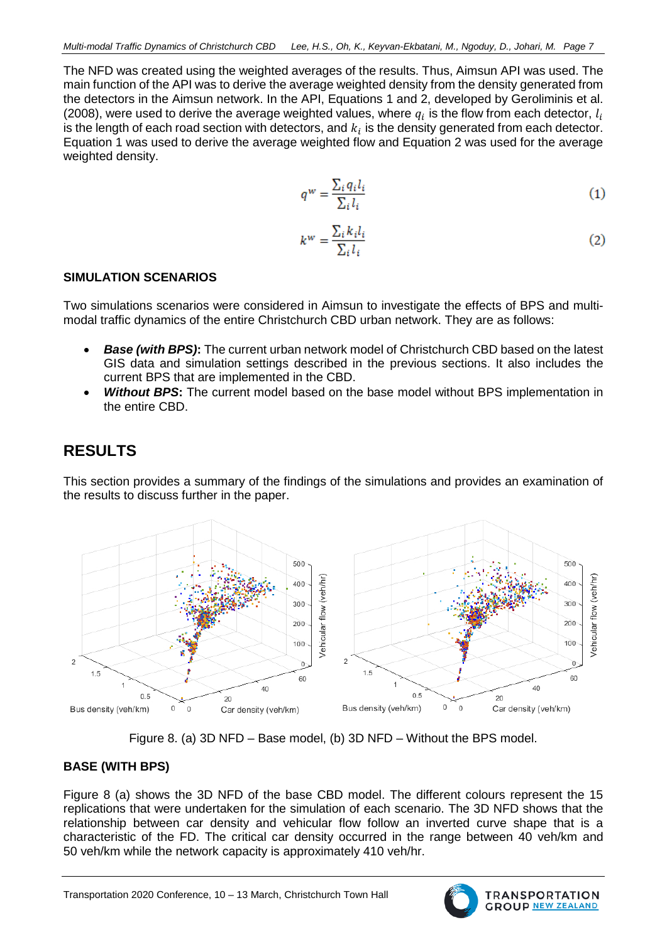The NFD was created using the weighted averages of the results. Thus, Aimsun API was used. The main function of the API was to derive the average weighted density from the density generated from the detectors in the Aimsun network. In the API, Equations 1 and 2, developed by Geroliminis et al. (2008), were used to derive the average weighted values, where  $q_i$  is the flow from each detector,  $l_i$ is the length of each road section with detectors, and  $k_i$  is the density generated from each detector. Equation 1 was used to derive the average weighted flow and Equation 2 was used for the average weighted density.

$$
q^w = \frac{\sum_i q_i l_i}{\sum_i l_i} \tag{1}
$$

$$
k^w = \frac{\sum_i k_i l_i}{\sum_i l_i} \tag{2}
$$

#### **SIMULATION SCENARIOS**

Two simulations scenarios were considered in Aimsun to investigate the effects of BPS and multimodal traffic dynamics of the entire Christchurch CBD urban network. They are as follows:

- *Base (with BPS)***:** The current urban network model of Christchurch CBD based on the latest GIS data and simulation settings described in the previous sections. It also includes the current BPS that are implemented in the CBD.
- *Without BPS***:** The current model based on the base model without BPS implementation in the entire CBD.

## **RESULTS**

This section provides a summary of the findings of the simulations and provides an examination of the results to discuss further in the paper.



Figure 8. (a) 3D NFD – Base model, (b) 3D NFD – Without the BPS model.

#### <span id="page-7-0"></span>**BASE (WITH BPS)**

[Figure 8](#page-7-0) (a) shows the 3D NFD of the base CBD model. The different colours represent the 15 replications that were undertaken for the simulation of each scenario. The 3D NFD shows that the relationship between car density and vehicular flow follow an inverted curve shape that is a characteristic of the FD. The critical car density occurred in the range between 40 veh/km and 50 veh/km while the network capacity is approximately 410 veh/hr.

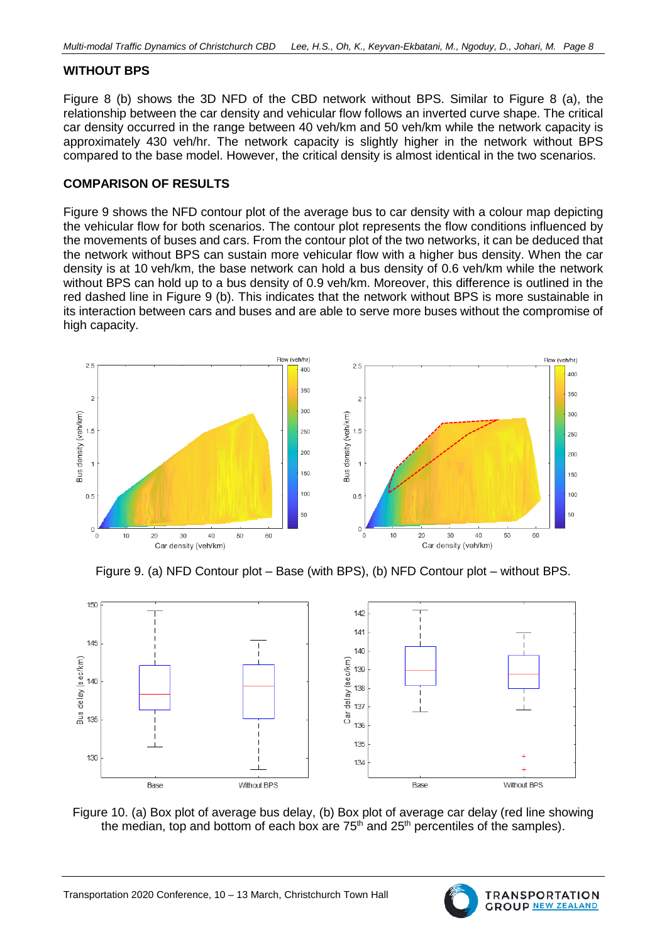#### **WITHOUT BPS**

[Figure 8](#page-7-0) (b) shows the 3D NFD of the CBD network without BPS. Similar to [Figure 8](#page-7-0) (a), the relationship between the car density and vehicular flow follows an inverted curve shape. The critical car density occurred in the range between 40 veh/km and 50 veh/km while the network capacity is approximately 430 veh/hr. The network capacity is slightly higher in the network without BPS compared to the base model. However, the critical density is almost identical in the two scenarios.

#### **COMPARISON OF RESULTS**

[Figure 9](#page-8-0) shows the NFD contour plot of the average bus to car density with a colour map depicting the vehicular flow for both scenarios. The contour plot represents the flow conditions influenced by the movements of buses and cars. From the contour plot of the two networks, it can be deduced that the network without BPS can sustain more vehicular flow with a higher bus density. When the car density is at 10 veh/km, the base network can hold a bus density of 0.6 veh/km while the network without BPS can hold up to a bus density of 0.9 veh/km. Moreover, this difference is outlined in the red dashed line in [Figure 9](#page-8-0) (b). This indicates that the network without BPS is more sustainable in its interaction between cars and buses and are able to serve more buses without the compromise of high capacity.



Figure 9. (a) NFD Contour plot – Base (with BPS), (b) NFD Contour plot – without BPS.

<span id="page-8-0"></span>

<span id="page-8-1"></span>Figure 10. (a) Box plot of average bus delay, (b) Box plot of average car delay (red line showing the median, top and bottom of each box are  $75<sup>th</sup>$  and  $25<sup>th</sup>$  percentiles of the samples).

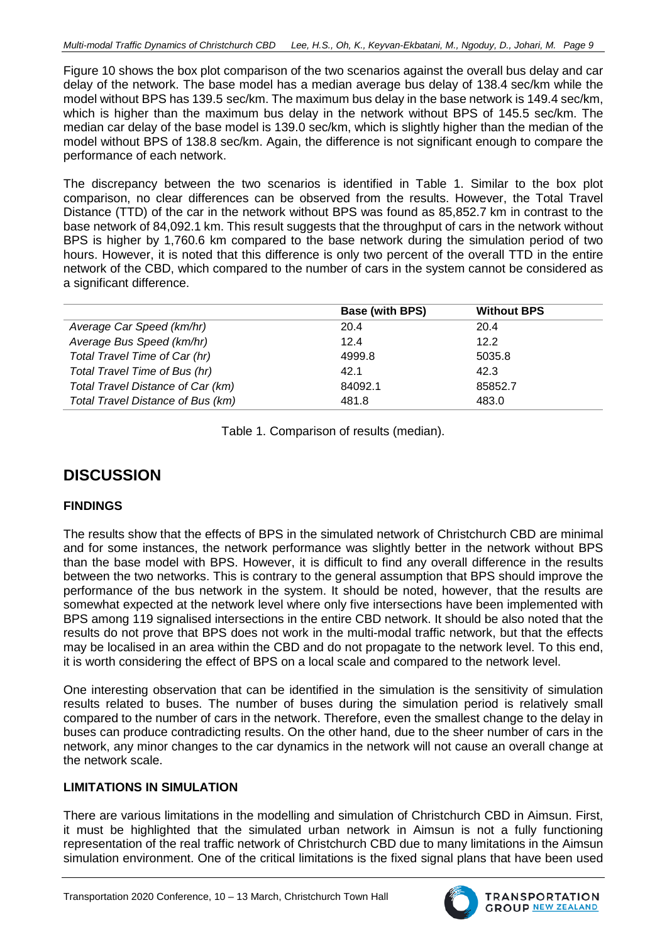[Figure 10](#page-8-1) shows the box plot comparison of the two scenarios against the overall bus delay and car delay of the network. The base model has a median average bus delay of 138.4 sec/km while the model without BPS has 139.5 sec/km. The maximum bus delay in the base network is 149.4 sec/km, which is higher than the maximum bus delay in the network without BPS of 145.5 sec/km. The median car delay of the base model is 139.0 sec/km, which is slightly higher than the median of the model without BPS of 138.8 sec/km. Again, the difference is not significant enough to compare the performance of each network.

The discrepancy between the two scenarios is identified in [Table 1.](#page-9-0) Similar to the box plot comparison, no clear differences can be observed from the results. However, the Total Travel Distance (TTD) of the car in the network without BPS was found as 85,852.7 km in contrast to the base network of 84,092.1 km. This result suggests that the throughput of cars in the network without BPS is higher by 1,760.6 km compared to the base network during the simulation period of two hours. However, it is noted that this difference is only two percent of the overall TTD in the entire network of the CBD, which compared to the number of cars in the system cannot be considered as a significant difference.

|                                   | <b>Base (with BPS)</b> | <b>Without BPS</b> |
|-----------------------------------|------------------------|--------------------|
| Average Car Speed (km/hr)         | 20.4                   | 20.4               |
| Average Bus Speed (km/hr)         | 12.4                   | 12.2               |
| Total Travel Time of Car (hr)     | 4999.8                 | 5035.8             |
| Total Travel Time of Bus (hr)     | 42.1                   | 42.3               |
| Total Travel Distance of Car (km) | 84092.1                | 85852.7            |
| Total Travel Distance of Bus (km) | 481.8                  | 483.0              |

Table 1. Comparison of results (median).

## <span id="page-9-0"></span>**DISCUSSION**

## **FINDINGS**

The results show that the effects of BPS in the simulated network of Christchurch CBD are minimal and for some instances, the network performance was slightly better in the network without BPS than the base model with BPS. However, it is difficult to find any overall difference in the results between the two networks. This is contrary to the general assumption that BPS should improve the performance of the bus network in the system. It should be noted, however, that the results are somewhat expected at the network level where only five intersections have been implemented with BPS among 119 signalised intersections in the entire CBD network. It should be also noted that the results do not prove that BPS does not work in the multi-modal traffic network, but that the effects may be localised in an area within the CBD and do not propagate to the network level. To this end, it is worth considering the effect of BPS on a local scale and compared to the network level.

One interesting observation that can be identified in the simulation is the sensitivity of simulation results related to buses. The number of buses during the simulation period is relatively small compared to the number of cars in the network. Therefore, even the smallest change to the delay in buses can produce contradicting results. On the other hand, due to the sheer number of cars in the network, any minor changes to the car dynamics in the network will not cause an overall change at the network scale.

#### **LIMITATIONS IN SIMULATION**

There are various limitations in the modelling and simulation of Christchurch CBD in Aimsun. First, it must be highlighted that the simulated urban network in Aimsun is not a fully functioning representation of the real traffic network of Christchurch CBD due to many limitations in the Aimsun simulation environment. One of the critical limitations is the fixed signal plans that have been used

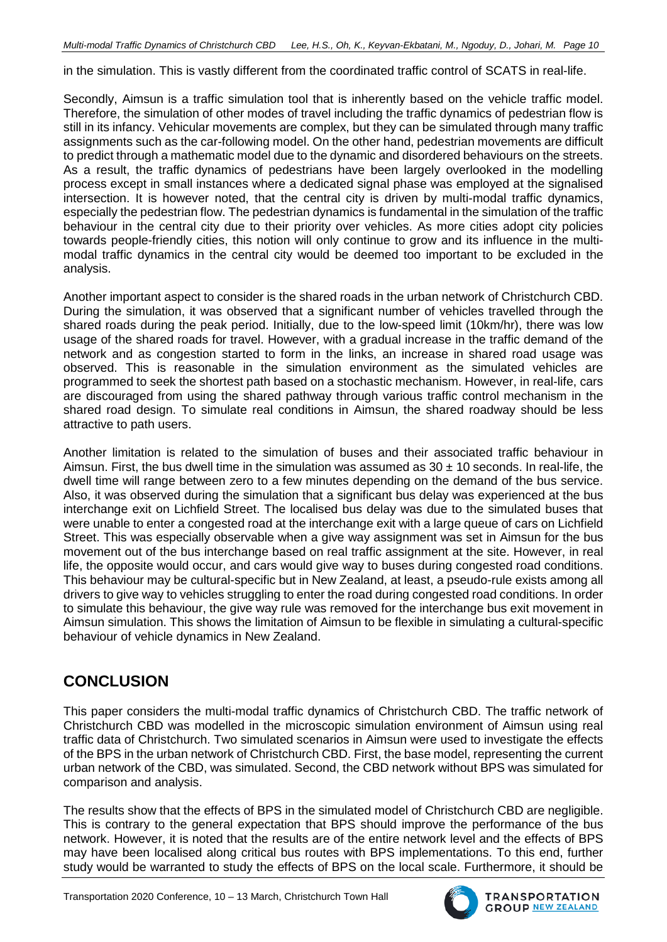in the simulation. This is vastly different from the coordinated traffic control of SCATS in real-life.

Secondly, Aimsun is a traffic simulation tool that is inherently based on the vehicle traffic model. Therefore, the simulation of other modes of travel including the traffic dynamics of pedestrian flow is still in its infancy. Vehicular movements are complex, but they can be simulated through many traffic assignments such as the car-following model. On the other hand, pedestrian movements are difficult to predict through a mathematic model due to the dynamic and disordered behaviours on the streets. As a result, the traffic dynamics of pedestrians have been largely overlooked in the modelling process except in small instances where a dedicated signal phase was employed at the signalised intersection. It is however noted, that the central city is driven by multi-modal traffic dynamics, especially the pedestrian flow. The pedestrian dynamics is fundamental in the simulation of the traffic behaviour in the central city due to their priority over vehicles. As more cities adopt city policies towards people-friendly cities, this notion will only continue to grow and its influence in the multimodal traffic dynamics in the central city would be deemed too important to be excluded in the analysis.

Another important aspect to consider is the shared roads in the urban network of Christchurch CBD. During the simulation, it was observed that a significant number of vehicles travelled through the shared roads during the peak period. Initially, due to the low-speed limit (10km/hr), there was low usage of the shared roads for travel. However, with a gradual increase in the traffic demand of the network and as congestion started to form in the links, an increase in shared road usage was observed. This is reasonable in the simulation environment as the simulated vehicles are programmed to seek the shortest path based on a stochastic mechanism. However, in real-life, cars are discouraged from using the shared pathway through various traffic control mechanism in the shared road design. To simulate real conditions in Aimsun, the shared roadway should be less attractive to path users.

Another limitation is related to the simulation of buses and their associated traffic behaviour in Aimsun. First, the bus dwell time in the simulation was assumed as  $30 \pm 10$  seconds. In real-life, the dwell time will range between zero to a few minutes depending on the demand of the bus service. Also, it was observed during the simulation that a significant bus delay was experienced at the bus interchange exit on Lichfield Street. The localised bus delay was due to the simulated buses that were unable to enter a congested road at the interchange exit with a large queue of cars on Lichfield Street. This was especially observable when a give way assignment was set in Aimsun for the bus movement out of the bus interchange based on real traffic assignment at the site. However, in real life, the opposite would occur, and cars would give way to buses during congested road conditions. This behaviour may be cultural-specific but in New Zealand, at least, a pseudo-rule exists among all drivers to give way to vehicles struggling to enter the road during congested road conditions. In order to simulate this behaviour, the give way rule was removed for the interchange bus exit movement in Aimsun simulation. This shows the limitation of Aimsun to be flexible in simulating a cultural-specific behaviour of vehicle dynamics in New Zealand.

## **CONCLUSION**

This paper considers the multi-modal traffic dynamics of Christchurch CBD. The traffic network of Christchurch CBD was modelled in the microscopic simulation environment of Aimsun using real traffic data of Christchurch. Two simulated scenarios in Aimsun were used to investigate the effects of the BPS in the urban network of Christchurch CBD. First, the base model, representing the current urban network of the CBD, was simulated. Second, the CBD network without BPS was simulated for comparison and analysis.

The results show that the effects of BPS in the simulated model of Christchurch CBD are negligible. This is contrary to the general expectation that BPS should improve the performance of the bus network. However, it is noted that the results are of the entire network level and the effects of BPS may have been localised along critical bus routes with BPS implementations. To this end, further study would be warranted to study the effects of BPS on the local scale. Furthermore, it should be

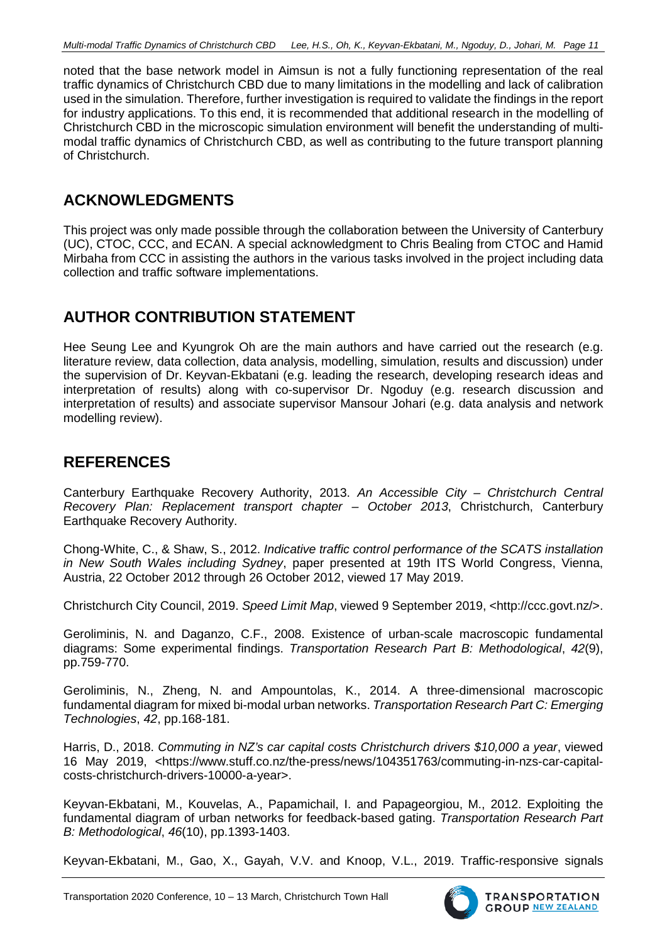noted that the base network model in Aimsun is not a fully functioning representation of the real traffic dynamics of Christchurch CBD due to many limitations in the modelling and lack of calibration used in the simulation. Therefore, further investigation is required to validate the findings in the report for industry applications. To this end, it is recommended that additional research in the modelling of Christchurch CBD in the microscopic simulation environment will benefit the understanding of multimodal traffic dynamics of Christchurch CBD, as well as contributing to the future transport planning of Christchurch.

## **ACKNOWLEDGMENTS**

This project was only made possible through the collaboration between the University of Canterbury (UC), CTOC, CCC, and ECAN. A special acknowledgment to Chris Bealing from CTOC and Hamid Mirbaha from CCC in assisting the authors in the various tasks involved in the project including data collection and traffic software implementations.

# **AUTHOR CONTRIBUTION STATEMENT**

Hee Seung Lee and Kyungrok Oh are the main authors and have carried out the research (e.g. literature review, data collection, data analysis, modelling, simulation, results and discussion) under the supervision of Dr. Keyvan-Ekbatani (e.g. leading the research, developing research ideas and interpretation of results) along with co-supervisor Dr. Ngoduy (e.g. research discussion and interpretation of results) and associate supervisor Mansour Johari (e.g. data analysis and network modelling review).

## **REFERENCES**

Canterbury Earthquake Recovery Authority, 2013. *An Accessible City – Christchurch Central Recovery Plan: Replacement transport chapter – October 2013*, Christchurch, Canterbury Earthquake Recovery Authority.

Chong-White, C., & Shaw, S., 2012. *Indicative traffic control performance of the SCATS installation in New South Wales including Sydney*, paper presented at 19th ITS World Congress, Vienna, Austria, 22 October 2012 through 26 October 2012, viewed 17 May 2019.

Christchurch City Council, 2019. *Speed Limit Map*, viewed 9 September 2019, [<http://ccc.govt.nz/>](http://ccc.govt.nz/).

Geroliminis, N. and Daganzo, C.F., 2008. Existence of urban-scale macroscopic fundamental diagrams: Some experimental findings. *Transportation Research Part B: Methodological*, *42*(9), pp.759-770.

Geroliminis, N., Zheng, N. and Ampountolas, K., 2014. A three-dimensional macroscopic fundamental diagram for mixed bi-modal urban networks. *Transportation Research Part C: Emerging Technologies*, *42*, pp.168-181.

Harris, D., 2018. *Commuting in NZ's car capital costs Christchurch drivers \$10,000 a year*, viewed 16 May 2019, <https://www.stuff.co.nz/the-press/news/104351763/commuting-in-nzs-car-capitalcosts-christchurch-drivers-10000-a-year>.

Keyvan-Ekbatani, M., Kouvelas, A., Papamichail, I. and Papageorgiou, M., 2012. Exploiting the fundamental diagram of urban networks for feedback-based gating. *Transportation Research Part B: Methodological*, *46*(10), pp.1393-1403.

Keyvan-Ekbatani, M., Gao, X., Gayah, V.V. and Knoop, V.L., 2019. Traffic-responsive signals